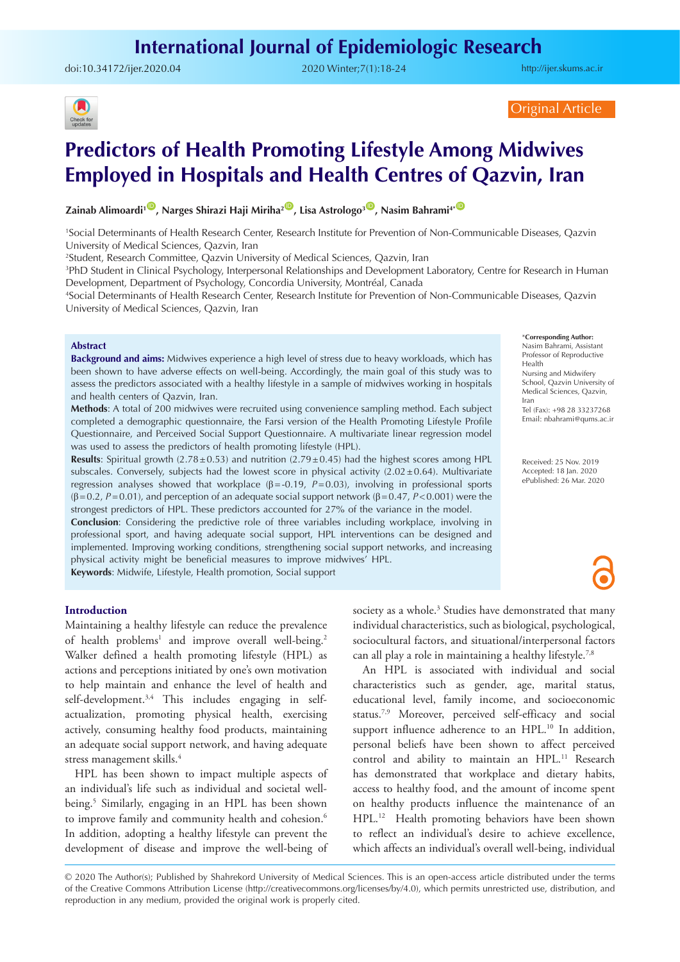## **International Journal of Epidemiologic Research**

doi:[10.34172/ijer.2020.04](https://doi.org/10.34172/ijer.2020.04) 2020 Winter;7(1):18-24

<http://ijer.skums.ac.ir>



Original Article

# **Predictors of Health Promoting Lifestyle Among Midwives Employed in Hospitals and Health Centres of Qazvin, Iran**

## **Zainab Alimoardi<sup>1</sup><sup>(D</sup>, Narges Shirazi Haji Miriha<sup>2</sup><sup>(D</sup>, Lisa Astrologo<sup>3</sup><sup>(D</sup>, Nasim Bahrami<sup>4\* O</sup>**

1 Social Determinants of Health Research Center, Research Institute for Prevention of Non-Communicable Diseases, Qazvin University of Medical Sciences, Qazvin, Iran

2 Student, Research Committee, Qazvin University of Medical Sciences, Qazvin, Iran

3 PhD Student in Clinical Psychology, Interpersonal Relationships and Development Laboratory, Centre for Research in Human Development, Department of Psychology, Concordia University, Montréal, Canada

4 Social Determinants of Health Research Center, Research Institute for Prevention of Non-Communicable Diseases, Qazvin University of Medical Sciences, Qazvin, Iran

#### **Abstract**

**Background and aims:** Midwives experience a high level of stress due to heavy workloads, which has been shown to have adverse effects on well-being. Accordingly, the main goal of this study was to assess the predictors associated with a healthy lifestyle in a sample of midwives working in hospitals and health centers of Qazvin, Iran.

**Methods**: A total of 200 midwives were recruited using convenience sampling method. Each subject completed a demographic questionnaire, the Farsi version of the Health Promoting Lifestyle Profile Questionnaire, and Perceived Social Support Questionnaire. A multivariate linear regression model was used to assess the predictors of health promoting lifestyle (HPL).

**Results**: Spiritual growth ( $2.78 \pm 0.53$ ) and nutrition ( $2.79 \pm 0.45$ ) had the highest scores among HPL subscales. Conversely, subjects had the lowest score in physical activity  $(2.02 \pm 0.64)$ . Multivariate regression analyses showed that workplace (β=-0.19, *P*=0.03), involving in professional sports (β=0.2, *P*=0.01), and perception of an adequate social support network (β=0.47, *P*<0.001) were the strongest predictors of HPL. These predictors accounted for 27% of the variance in the model.

**Conclusion**: Considering the predictive role of three variables including workplace, involving in professional sport, and having adequate social support, HPL interventions can be designed and implemented. Improving working conditions, strengthening social support networks, and increasing physical activity might be beneficial measures to improve midwives' HPL.

**Keywords**: Midwife, Lifestyle, Health promotion, Social support

#### **Introduction**

Maintaining a healthy lifestyle can reduce the prevalence of health problems<sup>1</sup> and improve overall well-being.<sup>2</sup> Walker defined a health promoting lifestyle (HPL) as actions and perceptions initiated by one's own motivation to help maintain and enhance the level of health and self-development.<sup>3,4</sup> This includes engaging in selfactualization, promoting physical health, exercising actively, consuming healthy food products, maintaining an adequate social support network, and having adequate stress management skills.4

HPL has been shown to impact multiple aspects of an individual's life such as individual and societal wellbeing.5 Similarly, engaging in an HPL has been shown to improve family and community health and cohesion.<sup>6</sup> In addition, adopting a healthy lifestyle can prevent the development of disease and improve the well-being of

society as a whole.<sup>3</sup> Studies have demonstrated that many individual characteristics, such as biological, psychological, sociocultural factors, and situational/interpersonal factors can all play a role in maintaining a healthy lifestyle.7,8

An HPL is associated with individual and social characteristics such as gender, age, marital status, educational level, family income, and socioeconomic status.7,9 Moreover, perceived self-efficacy and social support influence adherence to an HPL.<sup>10</sup> In addition, personal beliefs have been shown to affect perceived control and ability to maintain an HPL.11 Research has demonstrated that workplace and dietary habits, access to healthy food, and the amount of income spent on healthy products influence the maintenance of an HPL.12 Health promoting behaviors have been shown to reflect an individual's desire to achieve excellence, which affects an individual's overall well-being, individual

© 2020 The Author(s); Published by Shahrekord University of Medical Sciences. This is an open-access article distributed under the terms of the Creative Commons Attribution License (http://creativecommons.org/licenses/by/4.0), which permits unrestricted use, distribution, and reproduction in any medium, provided the original work is properly cited.

\***Corresponding Author:**

Nasim Bahrami, Assistant Professor of Reproductive Health Nursing and Midwifery School, Qazvin University of Medical Sciences, Qazvin, Iran Tel (Fax): +98 28 33237268 Email: nbahrami@qums.ac.ir

Received: 25 Nov. 2019 Accepted: 18 Jan. 2020 ePublished: 26 Mar. 2020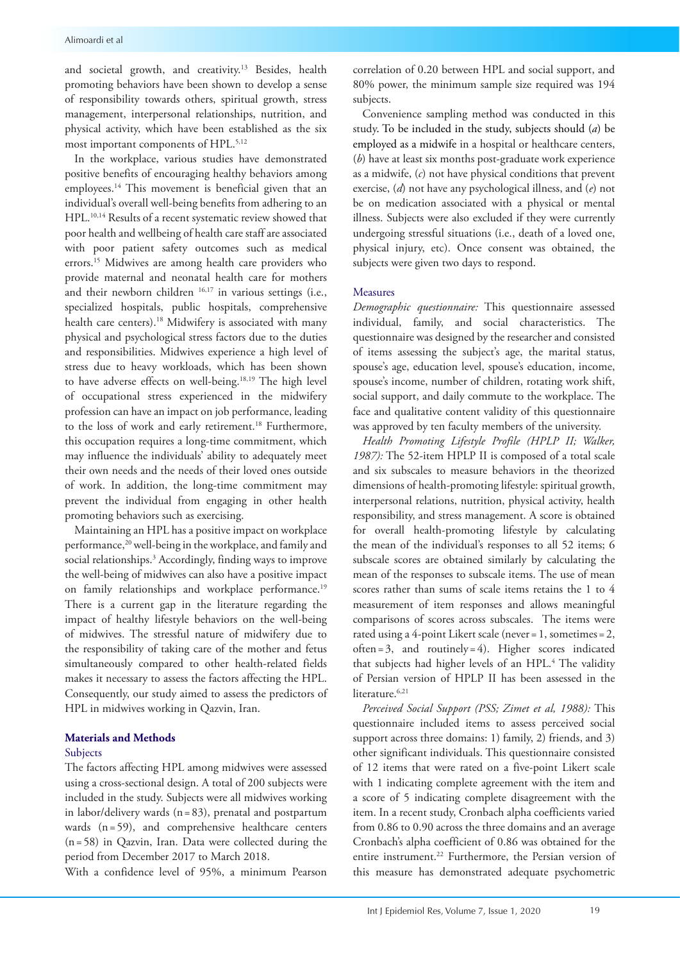and societal growth, and creativity.<sup>13</sup> Besides, health promoting behaviors have been shown to develop a sense of responsibility towards others, spiritual growth, stress management, interpersonal relationships, nutrition, and physical activity, which have been established as the six most important components of HPL.<sup>5,12</sup>

In the workplace, various studies have demonstrated positive benefits of encouraging healthy behaviors among employees.14 This movement is beneficial given that an individual's overall well-being benefits from adhering to an HPL.10,14 Results of a recent systematic review showed that poor health and wellbeing of health care staff are associated with poor patient safety outcomes such as medical errors.<sup>15</sup> Midwives are among health care providers who provide maternal and neonatal health care for mothers and their newborn children 16,17 in various settings (i.e., specialized hospitals, public hospitals, comprehensive health care centers).<sup>18</sup> Midwifery is associated with many physical and psychological stress factors due to the duties and responsibilities. Midwives experience a high level of stress due to heavy workloads, which has been shown to have adverse effects on well-being.18,19 The high level of occupational stress experienced in the midwifery profession can have an impact on job performance, leading to the loss of work and early retirement.<sup>18</sup> Furthermore, this occupation requires a long-time commitment, which may influence the individuals' ability to adequately meet their own needs and the needs of their loved ones outside of work. In addition, the long-time commitment may prevent the individual from engaging in other health promoting behaviors such as exercising.

Maintaining an HPL has a positive impact on workplace performance,20 well-being in the workplace, and family and social relationships.3 Accordingly, finding ways to improve the well-being of midwives can also have a positive impact on family relationships and workplace performance.<sup>19</sup> There is a current gap in the literature regarding the impact of healthy lifestyle behaviors on the well-being of midwives. The stressful nature of midwifery due to the responsibility of taking care of the mother and fetus simultaneously compared to other health-related fields makes it necessary to assess the factors affecting the HPL. Consequently, our study aimed to assess the predictors of HPL in midwives working in Qazvin, Iran.

## **Materials and Methods**

#### Subjects

The factors affecting HPL among midwives were assessed using a cross-sectional design. A total of 200 subjects were included in the study. Subjects were all midwives working in labor/delivery wards (n=83), prenatal and postpartum wards (n=59), and comprehensive healthcare centers (n=58) in Qazvin, Iran. Data were collected during the period from December 2017 to March 2018.

With a confidence level of 95%, a minimum Pearson

correlation of 0.20 between HPL and social support, and 80% power, the minimum sample size required was 194 subjects.

Convenience sampling method was conducted in this study. To be included in the study, subjects should (*a*) be employed as a midwife in a hospital or healthcare centers, (*b*) have at least six months post-graduate work experience as a midwife, (*c*) not have physical conditions that prevent exercise, (*d*) not have any psychological illness, and (*e*) not be on medication associated with a physical or mental illness. Subjects were also excluded if they were currently undergoing stressful situations (i.e., death of a loved one, physical injury, etc). Once consent was obtained, the subjects were given two days to respond.

## Measures

*Demographic questionnaire:* This questionnaire assessed individual, family, and social characteristics. The questionnaire was designed by the researcher and consisted of items assessing the subject's age, the marital status, spouse's age, education level, spouse's education, income, spouse's income, number of children, rotating work shift, social support, and daily commute to the workplace. The face and qualitative content validity of this questionnaire was approved by ten faculty members of the university.

*Health Promoting Lifestyle Profile (HPLP II; Walker, 1987):* The 52-item HPLP II is composed of a total scale and six subscales to measure behaviors in the theorized dimensions of health-promoting lifestyle: spiritual growth, interpersonal relations, nutrition, physical activity, health responsibility, and stress management. A score is obtained for overall health-promoting lifestyle by calculating the mean of the individual's responses to all 52 items; 6 subscale scores are obtained similarly by calculating the mean of the responses to subscale items. The use of mean scores rather than sums of scale items retains the 1 to 4 measurement of item responses and allows meaningful comparisons of scores across subscales. The items were rated using a 4-point Likert scale (never=1, sometimes=2, often=3, and routinely=4). Higher scores indicated that subjects had higher levels of an HPL.<sup>4</sup> The validity of Persian version of HPLP II has been assessed in the literature.<sup>6,21</sup>

*Perceived Social Support (PSS; Zimet et al, 1988):* This questionnaire included items to assess perceived social support across three domains: 1) family, 2) friends, and 3) other significant individuals. This questionnaire consisted of 12 items that were rated on a five-point Likert scale with 1 indicating complete agreement with the item and a score of 5 indicating complete disagreement with the item. In a recent study, Cronbach alpha coefficients varied from 0.86 to 0.90 across the three domains and an average Cronbach's alpha coefficient of 0.86 was obtained for the entire instrument.<sup>22</sup> Furthermore, the Persian version of this measure has demonstrated adequate psychometric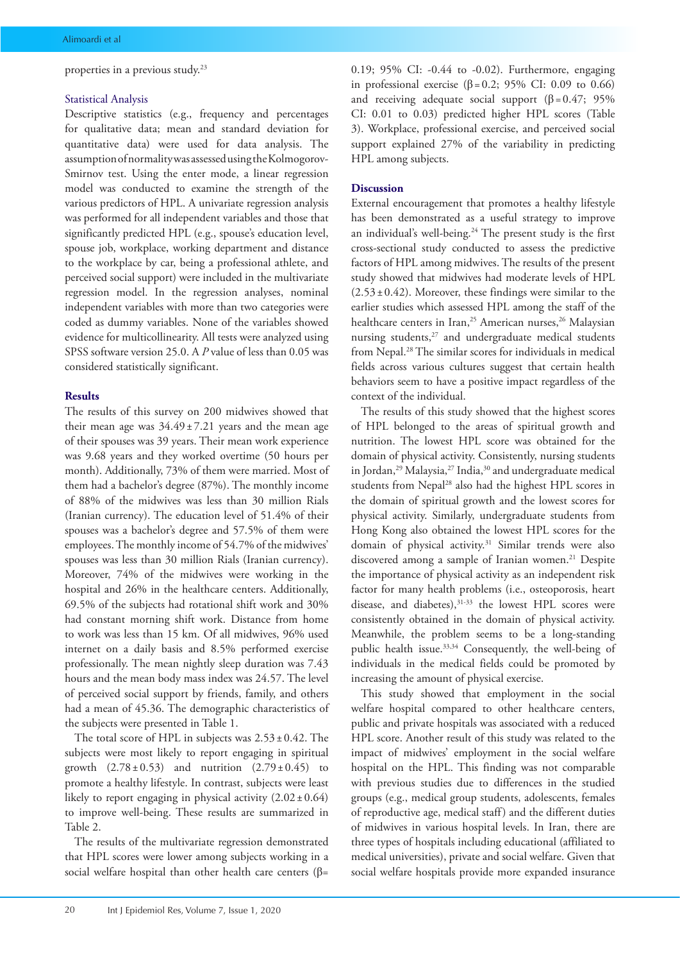properties in a previous study.23

#### Statistical Analysis

Descriptive statistics (e.g., frequency and percentages for qualitative data; mean and standard deviation for quantitative data) were used for data analysis. The assumption of normality was assessed using the Kolmogorov-Smirnov test. Using the enter mode, a linear regression model was conducted to examine the strength of the various predictors of HPL. A univariate regression analysis was performed for all independent variables and those that significantly predicted HPL (e.g., spouse's education level, spouse job, workplace, working department and distance to the workplace by car, being a professional athlete, and perceived social support) were included in the multivariate regression model. In the regression analyses, nominal independent variables with more than two categories were coded as dummy variables. None of the variables showed evidence for multicollinearity. All tests were analyzed using SPSS software version 25.0. A *P* value of less than 0.05 was considered statistically significant.

#### **Results**

The results of this survey on 200 midwives showed that their mean age was  $34.49 \pm 7.21$  years and the mean age of their spouses was 39 years. Their mean work experience was 9.68 years and they worked overtime (50 hours per month). Additionally, 73% of them were married. Most of them had a bachelor's degree (87%). The monthly income of 88% of the midwives was less than 30 million Rials (Iranian currency). The education level of 51.4% of their spouses was a bachelor's degree and 57.5% of them were employees. The monthly income of 54.7% of the midwives' spouses was less than 30 million Rials (Iranian currency). Moreover, 74% of the midwives were working in the hospital and 26% in the healthcare centers. Additionally, 69.5% of the subjects had rotational shift work and 30% had constant morning shift work. Distance from home to work was less than 15 km. Of all midwives, 96% used internet on a daily basis and 8.5% performed exercise professionally. The mean nightly sleep duration was 7.43 hours and the mean body mass index was 24.57. The level of perceived social support by friends, family, and others had a mean of 45.36. The demographic characteristics of the subjects were presented in Table 1.

The total score of HPL in subjects was  $2.53 \pm 0.42$ . The subjects were most likely to report engaging in spiritual growth  $(2.78 \pm 0.53)$  and nutrition  $(2.79 \pm 0.45)$  to promote a healthy lifestyle. In contrast, subjects were least likely to report engaging in physical activity  $(2.02 \pm 0.64)$ to improve well-being. These results are summarized in Table 2.

The results of the multivariate regression demonstrated that HPL scores were lower among subjects working in a social welfare hospital than other health care centers ( $\beta$ = 0.19; 95% CI: -0.44 to -0.02). Furthermore, engaging in professional exercise (β = 0.2; 95% CI: 0.09 to 0.66) and receiving adequate social support  $(\beta = 0.47; 95\%)$ CI: 0.01 to 0.03) predicted higher HPL scores (Table 3). Workplace, professional exercise, and perceived social support explained 27% of the variability in predicting HPL among subjects.

#### **Discussion**

External encouragement that promotes a healthy lifestyle has been demonstrated as a useful strategy to improve an individual's well-being.24 The present study is the first cross-sectional study conducted to assess the predictive factors of HPL among midwives. The results of the present study showed that midwives had moderate levels of HPL  $(2.53\pm0.42)$ . Moreover, these findings were similar to the earlier studies which assessed HPL among the staff of the healthcare centers in Iran,<sup>25</sup> American nurses,<sup>26</sup> Malaysian nursing students,<sup>27</sup> and undergraduate medical students from Nepal.28 The similar scores for individuals in medical fields across various cultures suggest that certain health behaviors seem to have a positive impact regardless of the context of the individual.

The results of this study showed that the highest scores of HPL belonged to the areas of spiritual growth and nutrition. The lowest HPL score was obtained for the domain of physical activity. Consistently, nursing students in Jordan,<sup>29</sup> Malaysia,<sup>27</sup> India,<sup>30</sup> and undergraduate medical students from Nepal28 also had the highest HPL scores in the domain of spiritual growth and the lowest scores for physical activity. Similarly, undergraduate students from Hong Kong also obtained the lowest HPL scores for the domain of physical activity.31 Similar trends were also discovered among a sample of Iranian women.<sup>21</sup> Despite the importance of physical activity as an independent risk factor for many health problems (i.e., osteoporosis, heart disease, and diabetes), 31-33 the lowest HPL scores were consistently obtained in the domain of physical activity. Meanwhile, the problem seems to be a long-standing public health issue.<sup>33,34</sup> Consequently, the well-being of individuals in the medical fields could be promoted by increasing the amount of physical exercise.

This study showed that employment in the social welfare hospital compared to other healthcare centers, public and private hospitals was associated with a reduced HPL score. Another result of this study was related to the impact of midwives' employment in the social welfare hospital on the HPL. This finding was not comparable with previous studies due to differences in the studied groups (e.g., medical group students, adolescents, females of reproductive age, medical staff) and the different duties of midwives in various hospital levels. In Iran, there are three types of hospitals including educational (affiliated to medical universities), private and social welfare. Given that social welfare hospitals provide more expanded insurance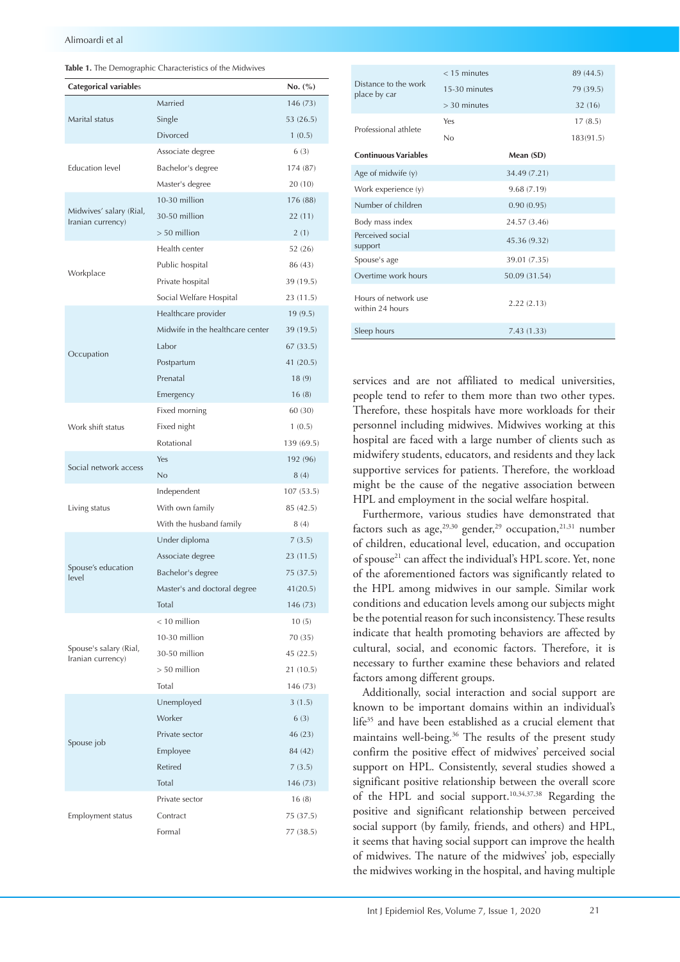| Table 1. The Demographic Characteristics of the Midwives |
|----------------------------------------------------------|
|                                                          |

| Categorical variables                        |                                  | No. (%)    |
|----------------------------------------------|----------------------------------|------------|
|                                              | Married                          | 146 (73)   |
| Marital status                               | Single                           | 53 (26.5)  |
|                                              | Divorced                         | 1(0.5)     |
|                                              | Associate degree                 | 6(3)       |
| <b>Education</b> level                       | Bachelor's degree                | 174 (87)   |
|                                              | Master's degree                  | 20(10)     |
|                                              | 10-30 million                    | 176 (88)   |
| Midwives' salary (Rial,<br>Iranian currency) | 30-50 million                    | 22 (11)    |
|                                              | $> 50$ million                   | 2(1)       |
|                                              | Health center                    | 52 (26)    |
|                                              | Public hospital                  | 86 (43)    |
| Workplace                                    | Private hospital                 | 39 (19.5)  |
|                                              | Social Welfare Hospital          | 23 (11.5)  |
|                                              | Healthcare provider              | 19(9.5)    |
|                                              | Midwife in the healthcare center | 39 (19.5)  |
|                                              | Labor                            | 67 (33.5)  |
| Occupation                                   | Postpartum                       | 41 (20.5)  |
|                                              | Prenatal                         | 18(9)      |
|                                              | Emergency                        | 16(8)      |
|                                              | Fixed morning                    | 60 (30)    |
| Work shift status                            | Fixed night                      | 1(0.5)     |
|                                              | Rotational                       | 139 (69.5) |
| Social network access                        | Yes                              | 192 (96)   |
|                                              | No                               | 8(4)       |
|                                              | Independent                      | 107 (53.5) |
| Living status                                | With own family                  | 85 (42.5)  |
|                                              | With the husband family          | 8(4)       |
|                                              | Under diploma                    | 7(3.5)     |
|                                              | Associate degree                 | 23(11.5)   |
| Spouse's education<br>level                  | Bachelor's degree                | 75 (37.5)  |
|                                              | Master's and doctoral degree     | 41(20.5)   |
|                                              | Total                            | 146 (73)   |
|                                              | $<$ 10 million                   | 10(5)      |
| Spouse's salary (Rial,                       | 10-30 million                    | 70 (35)    |
| Iranian currency)                            | 30-50 million                    | 45(22.5)   |
|                                              | $> 50$ million                   | 21 (10.5)  |
|                                              | Total                            | 146 (73)   |
|                                              | Unemployed                       | 3(1.5)     |
|                                              | Worker                           | 6(3)       |
| Spouse job                                   | Private sector                   | 46 (23)    |
|                                              | Employee                         | 84 (42)    |
|                                              | <b>Retired</b>                   | 7(3.5)     |
|                                              | Total                            | 146 (73)   |
|                                              | Private sector                   | 16(8)      |
| Employment status                            | Contract                         | 75 (37.5)  |
|                                              | Formal                           | 77 (38.5)  |

|                                         | $<$ 15 minutes |               | 89 (44.5) |
|-----------------------------------------|----------------|---------------|-----------|
| Distance to the work<br>place by car    | 15-30 minutes  |               | 79 (39.5) |
|                                         | $>$ 30 minutes |               | 32 (16)   |
| Professional athlete                    | Yes            |               | 17(8.5)   |
|                                         | No             |               | 183(91.5) |
| <b>Continuous Variables</b>             |                | Mean (SD)     |           |
| Age of midwife (y)                      |                | 34.49 (7.21)  |           |
| Work experience (y)                     |                | 9.68 (7.19)   |           |
| Number of children                      |                | 0.90(0.95)    |           |
| Body mass index                         |                | 24.57 (3.46)  |           |
| Perceived social<br>support             |                | 45.36 (9.32)  |           |
| Spouse's age                            |                | 39.01 (7.35)  |           |
| Overtime work hours                     |                | 50.09 (31.54) |           |
| Hours of network use<br>within 24 hours |                | 2.22(2.13)    |           |
| Sleep hours                             |                | 7.43(1.33)    |           |

services and are not affiliated to medical universities, people tend to refer to them more than two other types. Therefore, these hospitals have more workloads for their personnel including midwives. Midwives working at this hospital are faced with a large number of clients such as midwifery students, educators, and residents and they lack supportive services for patients. Therefore, the workload might be the cause of the negative association between HPL and employment in the social welfare hospital.

Furthermore, various studies have demonstrated that factors such as age,  $29,30$  gender,  $29$  occupation,  $21,31$  number of children, educational level, education, and occupation of spouse<sup>21</sup> can affect the individual's HPL score. Yet, none of the aforementioned factors was significantly related to the HPL among midwives in our sample. Similar work conditions and education levels among our subjects might be the potential reason for such inconsistency. These results indicate that health promoting behaviors are affected by cultural, social, and economic factors. Therefore, it is necessary to further examine these behaviors and related factors among different groups.

Additionally, social interaction and social support are known to be important domains within an individual's life35 and have been established as a crucial element that maintains well-being.<sup>36</sup> The results of the present study confirm the positive effect of midwives' perceived social support on HPL. Consistently, several studies showed a significant positive relationship between the overall score of the HPL and social support.10,34,37,38 Regarding the positive and significant relationship between perceived social support (by family, friends, and others) and HPL, it seems that having social support can improve the health of midwives. The nature of the midwives' job, especially the midwives working in the hospital, and having multiple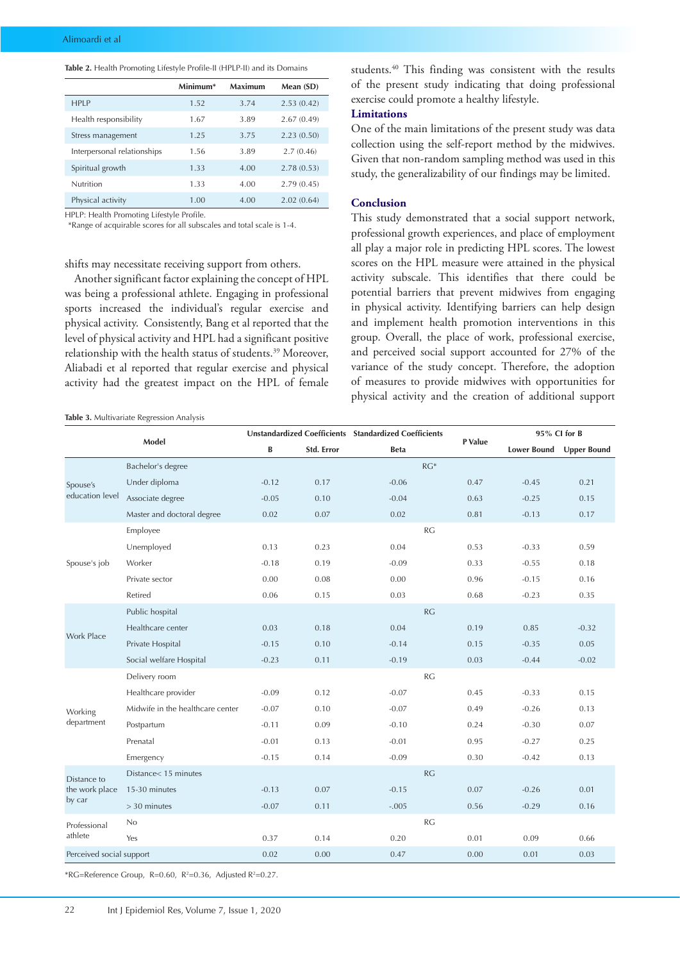|  | Table 2. Health Promoting Lifestyle Profile-II (HPLP-II) and its Domains |
|--|--------------------------------------------------------------------------|
|--|--------------------------------------------------------------------------|

|                             | Minimum* | Maximum | Mean (SD)  |
|-----------------------------|----------|---------|------------|
| <b>HPIP</b>                 | 1.52     | 3.74    | 2.53(0.42) |
| Health responsibility       | 1.67     | 3.89    | 2.67(0.49) |
| Stress management           | 1.25     | 3.75    | 2.23(0.50) |
| Interpersonal relationships | 1.56     | 3.89    | 2.7(0.46)  |
| Spiritual growth            | 1.33     | 4.00    | 2.78(0.53) |
| Nutrition                   | 1.33     | 4.00    | 2.79(0.45) |
| Physical activity           | 1.00     | 4.00    | 2.02(0.64) |

HPLP: Health Promoting Lifestyle Profile.

\*Range of acquirable scores for all subscales and total scale is 1-4.

shifts may necessitate receiving support from others.

Another significant factor explaining the concept of HPL was being a professional athlete. Engaging in professional sports increased the individual's regular exercise and physical activity. Consistently, Bang et al reported that the level of physical activity and HPL had a significant positive relationship with the health status of students.<sup>39</sup> Moreover, Aliabadi et al reported that regular exercise and physical activity had the greatest impact on the HPL of female

**Table 3.** Multivariate Regression Analysis

students.40 This finding was consistent with the results of the present study indicating that doing professional exercise could promote a healthy lifestyle.

## **Limitations**

One of the main limitations of the present study was data collection using the self-report method by the midwives. Given that non-random sampling method was used in this study, the generalizability of our findings may be limited.

#### **Conclusion**

This study demonstrated that a social support network, professional growth experiences, and place of employment all play a major role in predicting HPL scores. The lowest scores on the HPL measure were attained in the physical activity subscale. This identifies that there could be potential barriers that prevent midwives from engaging in physical activity. Identifying barriers can help design and implement health promotion interventions in this group. Overall, the place of work, professional exercise, and perceived social support accounted for 27% of the variance of the study concept. Therefore, the adoption of measures to provide midwives with opportunities for physical activity and the creation of additional support

| Model                                   |                                  | Unstandardized Coefficients Standardized Coefficients |            |             | P Value | 95% CI for B       |                    |
|-----------------------------------------|----------------------------------|-------------------------------------------------------|------------|-------------|---------|--------------------|--------------------|
|                                         |                                  | B                                                     | Std. Error | <b>Beta</b> |         | <b>Lower Bound</b> | <b>Upper Bound</b> |
| Spouse's<br>education level             | Bachelor's degree                |                                                       |            | $RG*$       |         |                    |                    |
|                                         | Under diploma                    | $-0.12$                                               | 0.17       | $-0.06$     | 0.47    | $-0.45$            | 0.21               |
|                                         | Associate degree                 | $-0.05$                                               | 0.10       | $-0.04$     | 0.63    | $-0.25$            | 0.15               |
|                                         | Master and doctoral degree       | 0.02                                                  | 0.07       | 0.02        | 0.81    | $-0.13$            | 0.17               |
|                                         | Employee                         |                                                       |            | <b>RG</b>   |         |                    |                    |
| Spouse's job                            | Unemployed                       | 0.13                                                  | 0.23       | 0.04        | 0.53    | $-0.33$            | 0.59               |
|                                         | Worker                           | $-0.18$                                               | 0.19       | $-0.09$     | 0.33    | $-0.55$            | 0.18               |
|                                         | Private sector                   | 0.00                                                  | 0.08       | 0.00        | 0.96    | $-0.15$            | 0.16               |
|                                         | Retired                          | 0.06                                                  | 0.15       | 0.03        | 0.68    | $-0.23$            | 0.35               |
|                                         | Public hospital                  |                                                       |            | <b>RG</b>   |         |                    |                    |
| <b>Work Place</b>                       | Healthcare center                | 0.03                                                  | 0.18       | 0.04        | 0.19    | 0.85               | $-0.32$            |
|                                         | Private Hospital                 | $-0.15$                                               | 0.10       | $-0.14$     | 0.15    | $-0.35$            | 0.05               |
|                                         | Social welfare Hospital          | $-0.23$                                               | 0.11       | $-0.19$     | 0.03    | $-0.44$            | $-0.02$            |
|                                         | Delivery room                    |                                                       |            | <b>RG</b>   |         |                    |                    |
| Working<br>department                   | Healthcare provider              | $-0.09$                                               | 0.12       | $-0.07$     | 0.45    | $-0.33$            | 0.15               |
|                                         | Midwife in the healthcare center | $-0.07$                                               | 0.10       | $-0.07$     | 0.49    | $-0.26$            | 0.13               |
|                                         | Postpartum                       | $-0.11$                                               | 0.09       | $-0.10$     | 0.24    | $-0.30$            | 0.07               |
|                                         | Prenatal                         | $-0.01$                                               | 0.13       | $-0.01$     | 0.95    | $-0.27$            | 0.25               |
|                                         | Emergency                        | $-0.15$                                               | 0.14       | $-0.09$     | 0.30    | $-0.42$            | 0.13               |
| Distance to<br>the work place<br>by car | Distance< 15 minutes             |                                                       |            | <b>RG</b>   |         |                    |                    |
|                                         | 15-30 minutes                    | $-0.13$                                               | 0.07       | $-0.15$     | 0.07    | $-0.26$            | 0.01               |
|                                         | $>$ 30 minutes                   | $-0.07$                                               | 0.11       | $-.005$     | 0.56    | $-0.29$            | 0.16               |
| Professional                            | No                               |                                                       |            | <b>RG</b>   |         |                    |                    |
| athlete                                 | Yes                              | 0.37                                                  | 0.14       | 0.20        | 0.01    | 0.09               | 0.66               |
| Perceived social support                |                                  | 0.02                                                  | 0.00       | 0.47        | 0.00    | 0.01               | 0.03               |

\*RG=Reference Group, R=0.60, R<sup>2</sup>=0.36, Adjusted R<sup>2</sup>=0.27.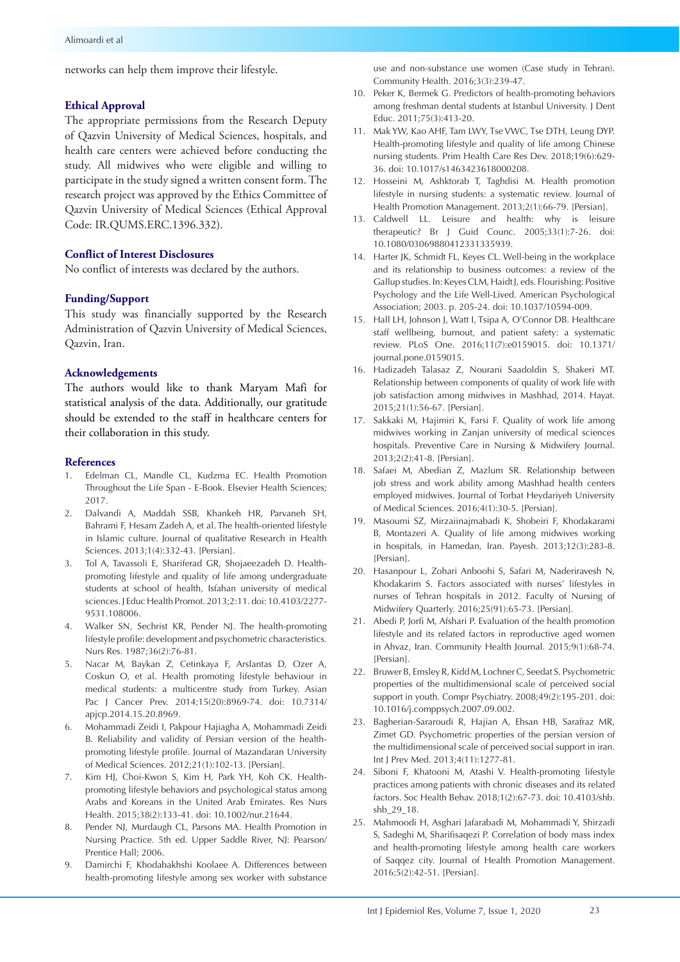networks can help them improve their lifestyle.

## **Ethical Approval**

The appropriate permissions from the Research Deputy of Qazvin University of Medical Sciences, hospitals, and health care centers were achieved before conducting the study. All midwives who were eligible and willing to participate in the study signed a written consent form. The research project was approved by the Ethics Committee of Qazvin University of Medical Sciences (Ethical Approval Code: IR.QUMS.ERC.1396.332).

## **Conflict of Interest Disclosures**

No conflict of interests was declared by the authors.

#### **Funding/Support**

This study was financially supported by the Research Administration of Qazvin University of Medical Sciences, Qazvin, Iran.

## **Acknowledgements**

The authors would like to thank Maryam Mafi for statistical analysis of the data. Additionally, our gratitude should be extended to the staff in healthcare centers for their collaboration in this study.

#### **References**

- 1. Edelman CL, Mandle CL, Kudzma EC. Health Promotion Throughout the Life Span - E-Book. Elsevier Health Sciences; 2017.
- 2. Dalvandi A, Maddah SSB, Khankeh HR, Parvaneh SH, Bahrami F, Hesam Zadeh A, et al. The health-oriented lifestyle in Islamic culture. Journal of qualitative Research in Health Sciences. 2013;1(4):332-43. [Persian].
- 3. Tol A, Tavassoli E, Shariferad GR, Shojaeezadeh D. Healthpromoting lifestyle and quality of life among undergraduate students at school of health, Isfahan university of medical sciences. J Educ Health Promot. 2013;2:11. doi: 10.4103/2277- 9531.108006.
- 4. Walker SN, Sechrist KR, Pender NJ. The health-promoting lifestyle profile: development and psychometric characteristics. Nurs Res. 1987;36(2):76-81.
- 5. Nacar M, Baykan Z, Cetinkaya F, Arslantas D, Ozer A, Coskun O, et al. Health promoting lifestyle behaviour in medical students: a multicentre study from Turkey. Asian Pac J Cancer Prev. 2014;15(20):8969-74. doi: 10.7314/ apjcp.2014.15.20.8969.
- 6. Mohammadi Zeidi I, Pakpour Hajiagha A, Mohammadi Zeidi B. Reliability and validity of Persian version of the healthpromoting lifestyle profile. Journal of Mazandaran University of Medical Sciences. 2012;21(1):102-13. [Persian].
- 7. Kim HJ, Choi-Kwon S, Kim H, Park YH, Koh CK. Healthpromoting lifestyle behaviors and psychological status among Arabs and Koreans in the United Arab Emirates. Res Nurs Health. 2015;38(2):133-41. doi: 10.1002/nur.21644.
- 8. Pender NJ, Murdaugh CL, Parsons MA. Health Promotion in Nursing Practice. 5th ed. Upper Saddle River, NJ: Pearson/ Prentice Hall; 2006.
- 9. Damirchi F, Khodabakhshi Koolaee A. Differences between health-promoting lifestyle among sex worker with substance

use and non-substance use women (Case study in Tehran). Community Health. 2016;3(3):239-47.

- 10. Peker K, Bermek G. Predictors of health-promoting behaviors among freshman dental students at Istanbul University. J Dent Educ. 2011;75(3):413-20.
- 11. Mak YW, Kao AHF, Tam LWY, Tse VWC, Tse DTH, Leung DYP. Health-promoting lifestyle and quality of life among Chinese nursing students. Prim Health Care Res Dev. 2018;19(6):629- 36. doi: 10.1017/s1463423618000208.
- 12. Hosseini M, Ashktorab T, Taghdisi M. Health promotion lifestyle in nursing students: a systematic review. Journal of Health Promotion Management. 2013;2(1):66-79. [Persian].
- 13. Caldwell LL. Leisure and health: why is leisure therapeutic? Br J Guid Counc. 2005;33(1):7-26. doi: 10.1080/03069880412331335939.
- 14. Harter JK, Schmidt FL, Keyes CL. Well-being in the workplace and its relationship to business outcomes: a review of the Gallup studies. In: Keyes CLM, Haidt J, eds. Flourishing: Positive Psychology and the Life Well-Lived. American Psychological Association; 2003. p. 205-24. doi: 10.1037/10594-009.
- 15. Hall LH, Johnson J, Watt I, Tsipa A, O'Connor DB. Healthcare staff wellbeing, burnout, and patient safety: a systematic review. PLoS One. 2016;11(7):e0159015. doi: 10.1371/ journal.pone.0159015.
- 16. Hadizadeh Talasaz Z, Nourani Saadoldin S, Shakeri MT. Relationship between components of quality of work life with job satisfaction among midwives in Mashhad, 2014. Hayat. 2015;21(1):56-67. [Persian].
- 17. Sakkaki M, Hajimiri K, Farsi F. Quality of work life among midwives working in Zanjan university of medical sciences hospitals. Preventive Care in Nursing & Midwifery Journal. 2013;2(2):41-8. [Persian].
- 18. Safaei M, Abedian Z, Mazlum SR. Relationship between job stress and work ability among Mashhad health centers employed midwives. Journal of Torbat Heydariyeh University of Medical Sciences. 2016;4(1):30-5. [Persian].
- 19. Masoumi SZ, Mirzaiinajmabadi K, Shobeiri F, Khodakarami B, Montazeri A. Quality of life among midwives working in hospitals, in Hamedan, Iran. Payesh. 2013;12(3):283-8. [Persian].
- 20. Hasanpour L, Zohari Anboohi S, Safari M, Naderiravesh N, Khodakarim S. Factors associated with nurses' lifestyles in nurses of Tehran hospitals in 2012. Faculty of Nursing of Midwifery Quarterly. 2016;25(91):65-73. [Persian].
- 21. Abedi P, Jorfi M, Afshari P. Evaluation of the health promotion lifestyle and its related factors in reproductive aged women in Ahvaz, Iran. Community Health Journal. 2015;9(1):68-74. [Persian].
- 22. Bruwer B, Emsley R, Kidd M, Lochner C, Seedat S. Psychometric properties of the multidimensional scale of perceived social support in youth. Compr Psychiatry. 2008;49(2):195-201. doi: 10.1016/j.comppsych.2007.09.002.
- 23. Bagherian-Sararoudi R, Hajian A, Ehsan HB, Sarafraz MR, Zimet GD. Psychometric properties of the persian version of the multidimensional scale of perceived social support in iran. Int J Prev Med. 2013;4(11):1277-81.
- 24. Siboni F, Khatooni M, Atashi V. Health-promoting lifestyle practices among patients with chronic diseases and its related factors. Soc Health Behav. 2018;1(2):67-73. doi: 10.4103/shb. shb\_29\_18.
- 25. Mahmoodi H, Asghari Jafarabadi M, Mohammadi Y, Shirzadi S, Sadeghi M, Sharifisaqezi P. Correlation of body mass index and health-promoting lifestyle among health care workers of Saqqez city. Journal of Health Promotion Management. 2016;5(2):42-51. [Persian].